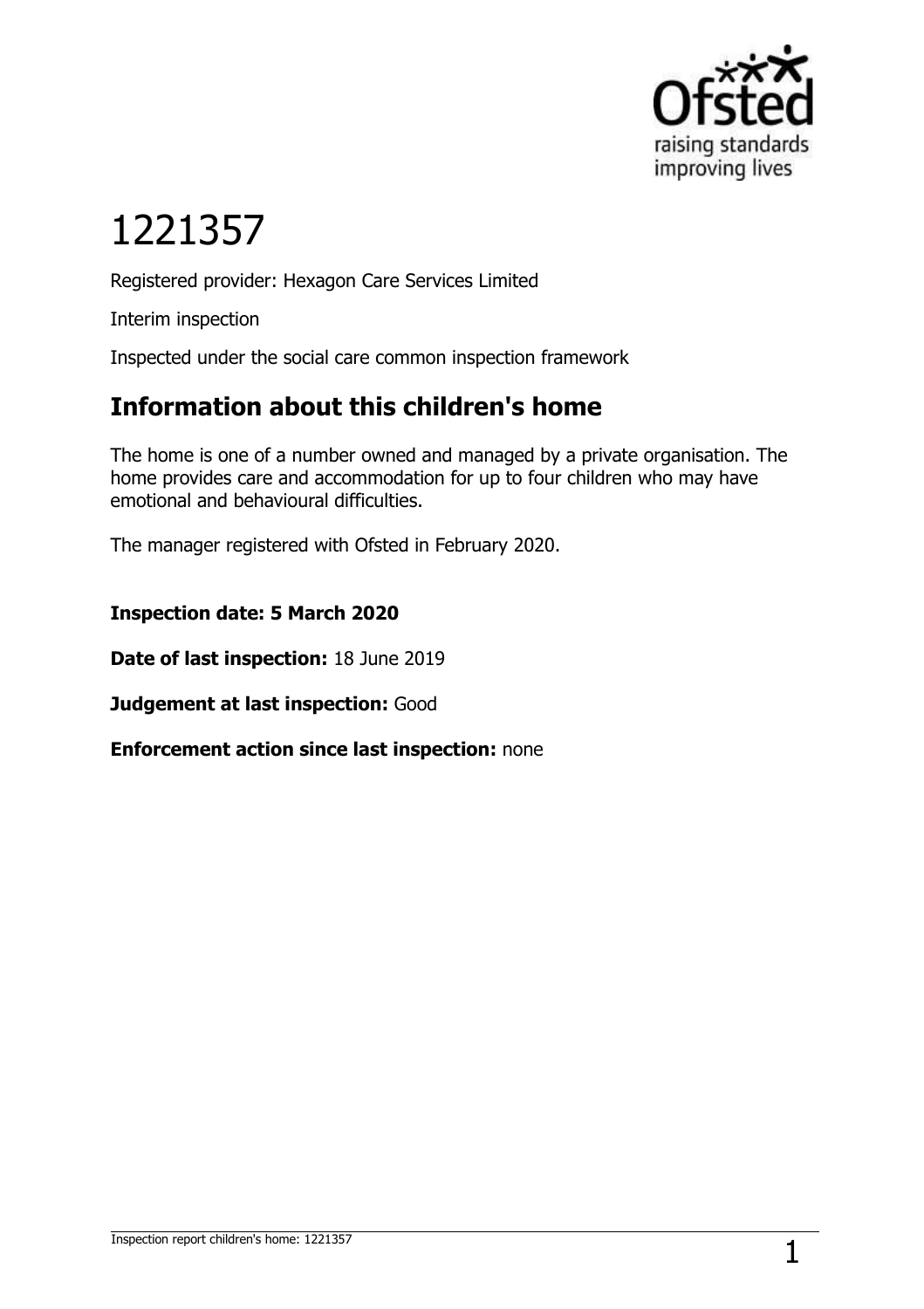

# 1221357

Registered provider: Hexagon Care Services Limited

Interim inspection

Inspected under the social care common inspection framework

## **Information about this children's home**

The home is one of a number owned and managed by a private organisation. The home provides care and accommodation for up to four children who may have emotional and behavioural difficulties.

The manager registered with Ofsted in February 2020.

**Inspection date: 5 March 2020**

**Date of last inspection:** 18 June 2019

**Judgement at last inspection:** Good

**Enforcement action since last inspection:** none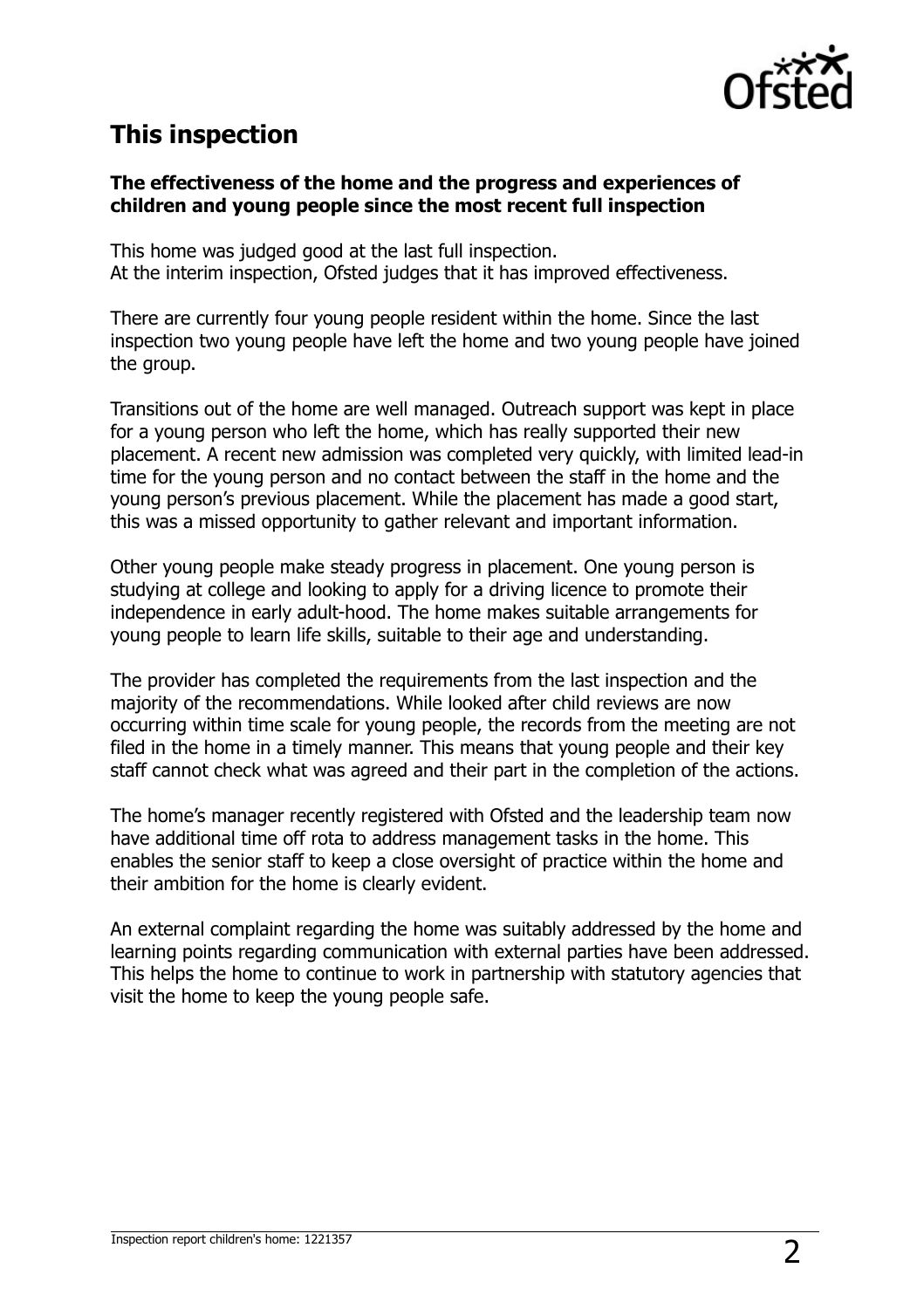

#### **This inspection**

#### **The effectiveness of the home and the progress and experiences of children and young people since the most recent full inspection**

This home was judged good at the last full inspection. At the interim inspection, Ofsted judges that it has improved effectiveness.

There are currently four young people resident within the home. Since the last inspection two young people have left the home and two young people have joined the group.

Transitions out of the home are well managed. Outreach support was kept in place for a young person who left the home, which has really supported their new placement. A recent new admission was completed very quickly, with limited lead-in time for the young person and no contact between the staff in the home and the young person's previous placement. While the placement has made a good start, this was a missed opportunity to gather relevant and important information.

Other young people make steady progress in placement. One young person is studying at college and looking to apply for a driving licence to promote their independence in early adult-hood. The home makes suitable arrangements for young people to learn life skills, suitable to their age and understanding.

The provider has completed the requirements from the last inspection and the majority of the recommendations. While looked after child reviews are now occurring within time scale for young people, the records from the meeting are not filed in the home in a timely manner. This means that young people and their key staff cannot check what was agreed and their part in the completion of the actions.

The home's manager recently registered with Ofsted and the leadership team now have additional time off rota to address management tasks in the home. This enables the senior staff to keep a close oversight of practice within the home and their ambition for the home is clearly evident.

An external complaint regarding the home was suitably addressed by the home and learning points regarding communication with external parties have been addressed. This helps the home to continue to work in partnership with statutory agencies that visit the home to keep the young people safe.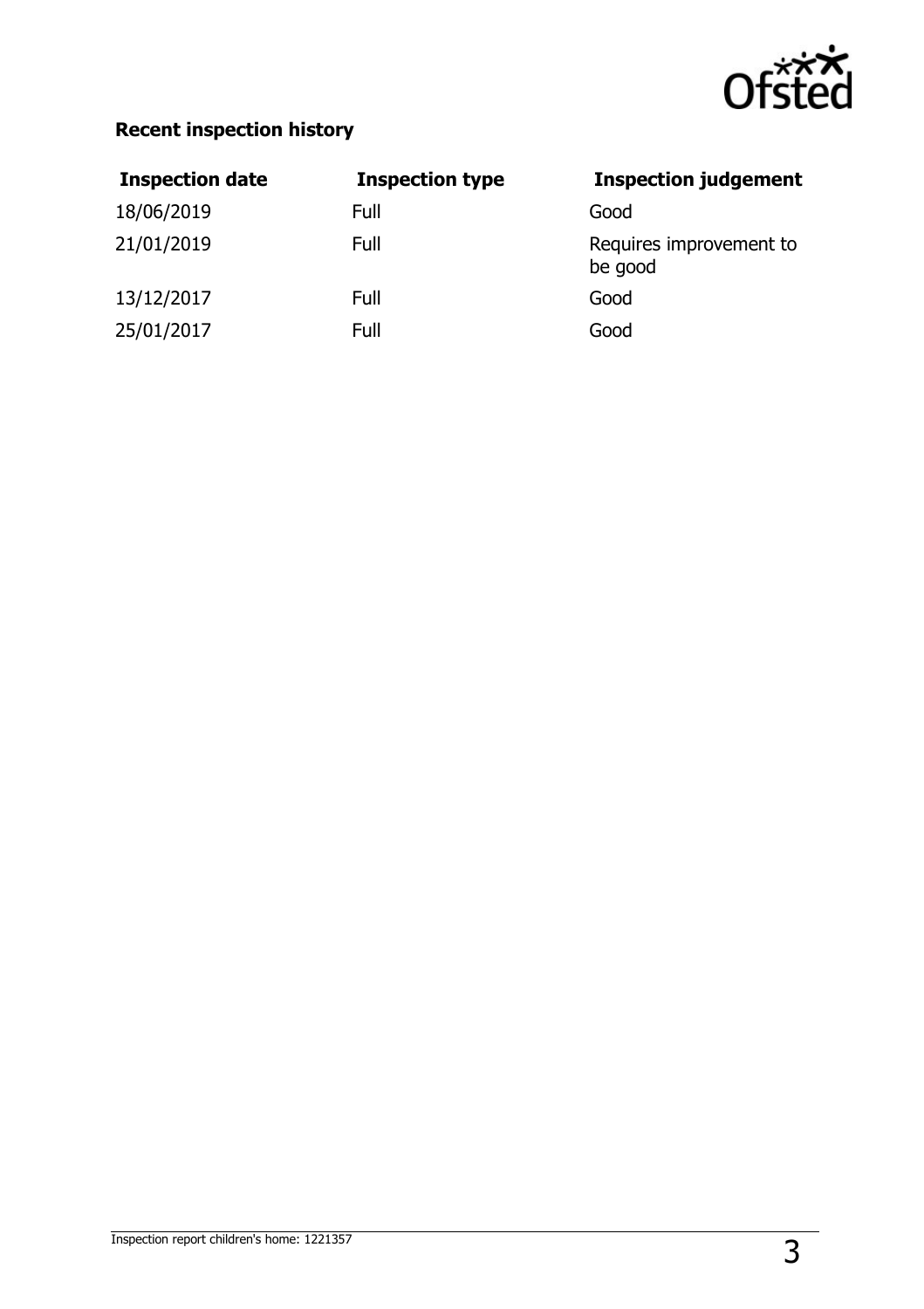

#### **Recent inspection history**

| <b>Inspection date</b> | <b>Inspection type</b> | <b>Inspection judgement</b>        |
|------------------------|------------------------|------------------------------------|
| 18/06/2019             | Full                   | Good                               |
| 21/01/2019             | Full                   | Requires improvement to<br>be good |
| 13/12/2017             | Full                   | Good                               |
| 25/01/2017             | Full                   | Good                               |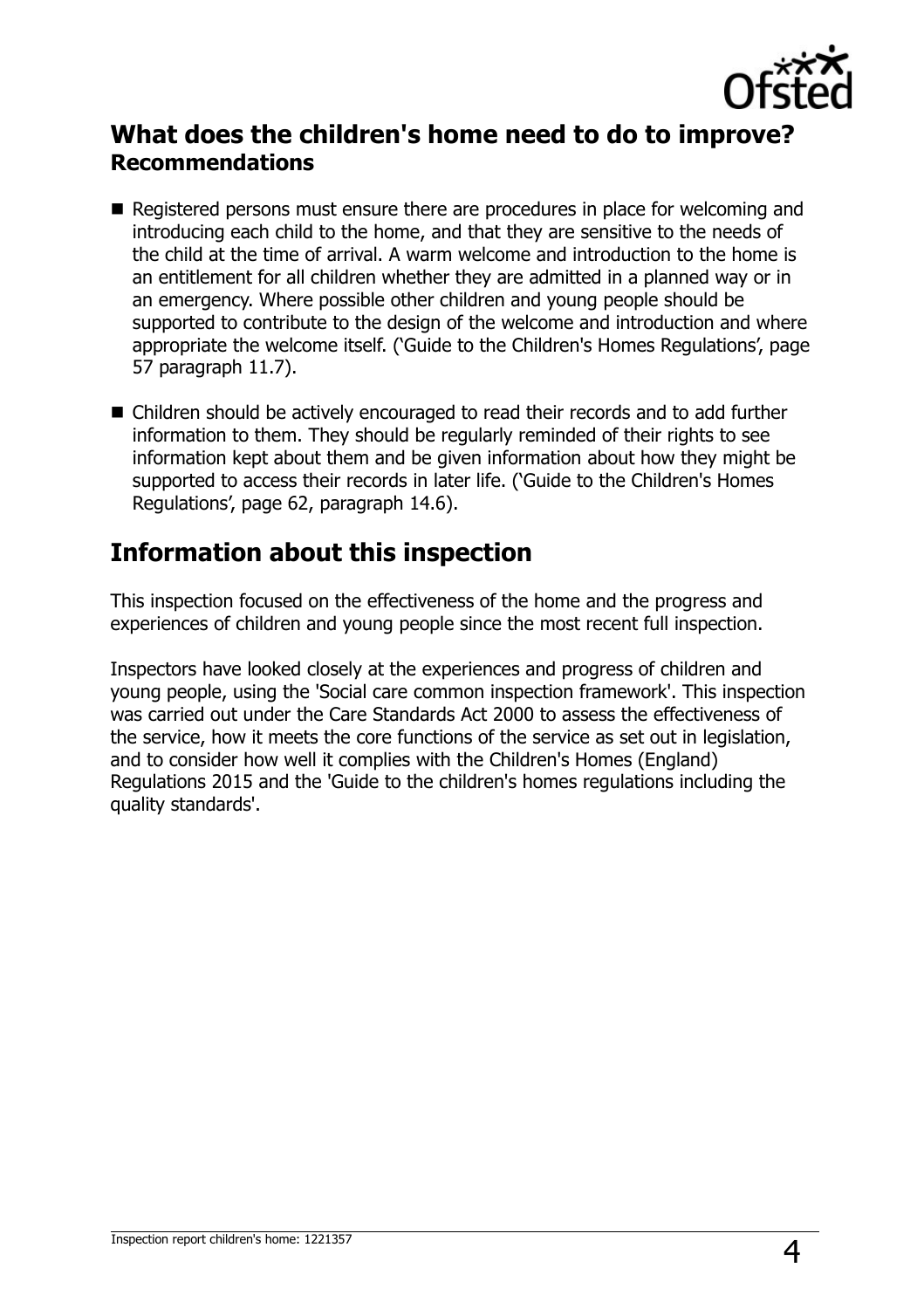

#### **What does the children's home need to do to improve? Recommendations**

- Registered persons must ensure there are procedures in place for welcoming and introducing each child to the home, and that they are sensitive to the needs of the child at the time of arrival. A warm welcome and introduction to the home is an entitlement for all children whether they are admitted in a planned way or in an emergency. Where possible other children and young people should be supported to contribute to the design of the welcome and introduction and where appropriate the welcome itself. ('Guide to the Children's Homes Regulations', page 57 paragraph 11.7).
- Children should be actively encouraged to read their records and to add further information to them. They should be regularly reminded of their rights to see information kept about them and be given information about how they might be supported to access their records in later life. ('Guide to the Children's Homes Regulations', page 62, paragraph 14.6).

#### **Information about this inspection**

This inspection focused on the effectiveness of the home and the progress and experiences of children and young people since the most recent full inspection.

Inspectors have looked closely at the experiences and progress of children and young people, using the 'Social care common inspection framework'. This inspection was carried out under the Care Standards Act 2000 to assess the effectiveness of the service, how it meets the core functions of the service as set out in legislation, and to consider how well it complies with the Children's Homes (England) Regulations 2015 and the 'Guide to the children's homes regulations including the quality standards'.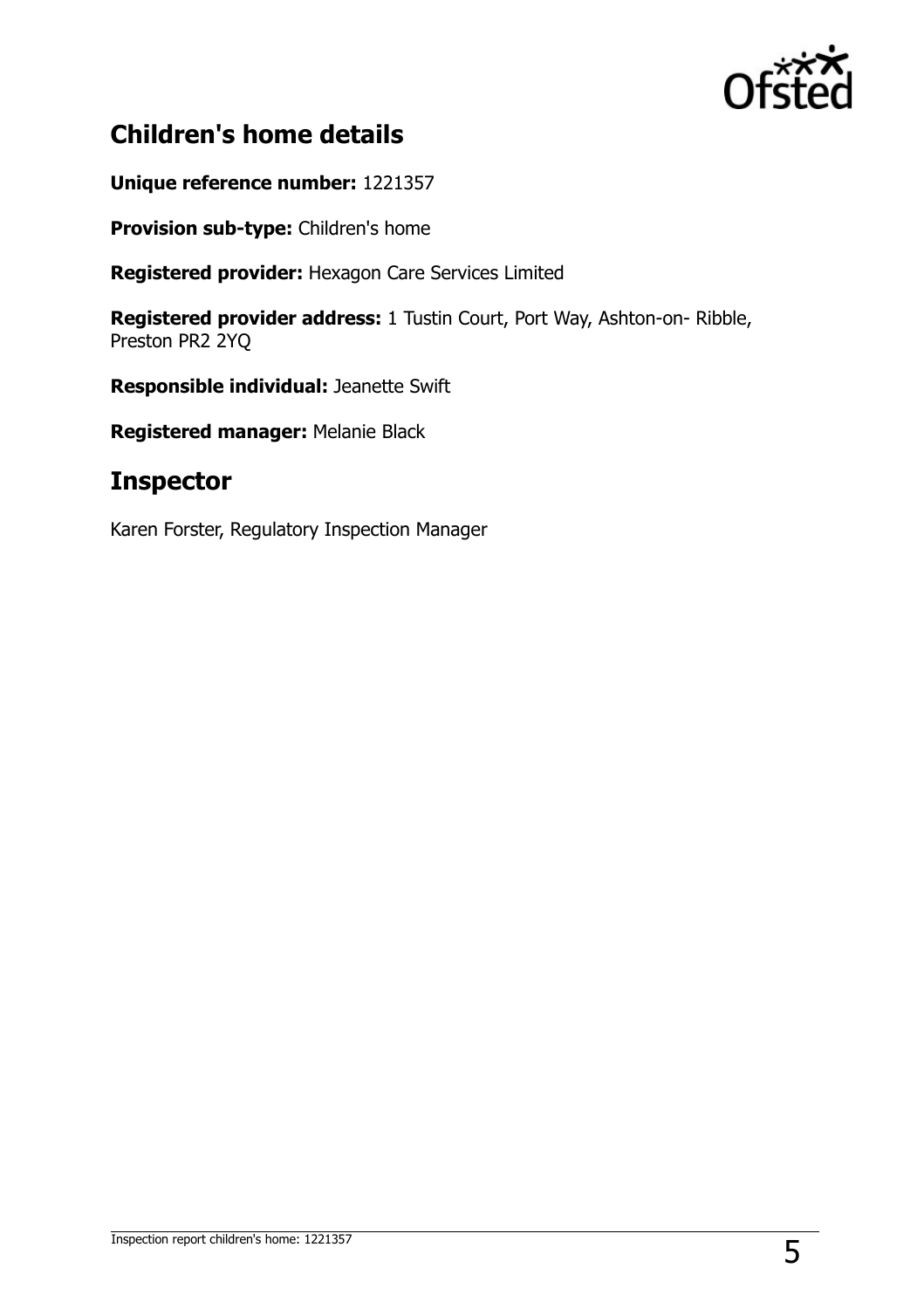

### **Children's home details**

**Unique reference number:** 1221357

**Provision sub-type:** Children's home

**Registered provider:** Hexagon Care Services Limited

**Registered provider address:** 1 Tustin Court, Port Way, Ashton-on- Ribble, Preston PR2 2YQ

**Responsible individual:** Jeanette Swift

**Registered manager:** Melanie Black

#### **Inspector**

Karen Forster, Regulatory Inspection Manager